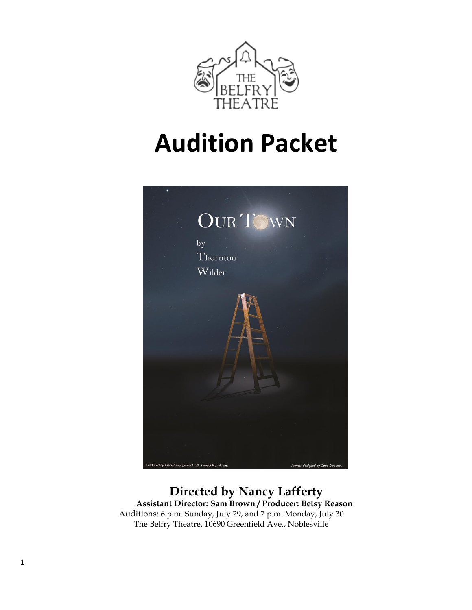

# **Audition Packet**



#### **Directed by Nancy Lafferty Assistant Director: Sam Brown / Producer: Betsy Reason** Auditions: 6 p.m. Sunday, July 29, and 7 p.m. Monday, July 30 The Belfry Theatre, 10690 Greenfield Ave., Noblesville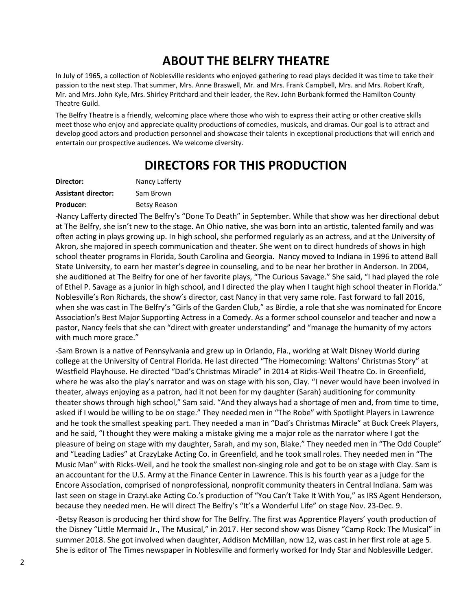# **ABOUT THE BELFRY THEATRE**

In July of 1965, a collection of Noblesville residents who enjoyed gathering to read plays decided it was time to take their passion to the next step. That summer, Mrs. Anne Braswell, Mr. and Mrs. Frank Campbell, Mrs. and Mrs. Robert Kraft, Mr. and Mrs. John Kyle, Mrs. Shirley Pritchard and their leader, the Rev. John Burbank formed the Hamilton County Theatre Guild.

The Belfry Theatre is a friendly, welcoming place where those who wish to express their acting or other creative skills meet those who enjoy and appreciate quality productions of comedies, musicals, and dramas. Our goal is to attract and develop good actors and production personnel and showcase their talents in exceptional productions that will enrich and entertain our prospective audiences. We welcome diversity.

## **DIRECTORS FOR THIS PRODUCTION**

**Director:** Nancy Lafferty **Assistant director:** Sam Brown

**Producer:** Betsy Reason

-Nancy Lafferty directed The Belfry's "Done To Death" in September. While that show was her directional debut at The Belfry, she isn't new to the stage. An Ohio native, she was born into an artistic, talented family and was often acting in plays growing up. In high school, she performed regularly as an actress, and at the University of Akron, she majored in speech communication and theater. She went on to direct hundreds of shows in high school theater programs in Florida, South Carolina and Georgia. Nancy moved to Indiana in 1996 to attend Ball State University, to earn her master's degree in counseling, and to be near her brother in Anderson. In 2004, she auditioned at The Belfry for one of her favorite plays, "The Curious Savage." She said, "I had played the role of Ethel P. Savage as a junior in high school, and I directed the play when I taught high school theater in Florida." Noblesville's Ron Richards, the show's director, cast Nancy in that very same role. Fast forward to fall 2016, when she was cast in The Belfry's "Girls of the Garden Club," as Birdie, a role that she was nominated for Encore Association's Best Major Supporting Actress in a Comedy. As a former school counselor and teacher and now a pastor, Nancy feels that she can "direct with greater understanding" and "manage the humanity of my actors with much more grace."

-Sam Brown is a native of Pennsylvania and grew up in Orlando, Fla., working at Walt Disney World during college at the University of Central Florida. He last directed "The Homecoming: Waltons' Christmas Story" at Westfield Playhouse. He directed "Dad's Christmas Miracle" in 2014 at Ricks-Weil Theatre Co. in Greenfield, where he was also the play's narrator and was on stage with his son, Clay. "I never would have been involved in theater, always enjoying as a patron, had it not been for my daughter (Sarah) auditioning for community theater shows through high school," Sam said. "And they always had a shortage of men and, from time to time, asked if I would be willing to be on stage." They needed men in "The Robe" with Spotlight Players in Lawrence and he took the smallest speaking part. They needed a man in "Dad's Christmas Miracle" at Buck Creek Players, and he said, "I thought they were making a mistake giving me a major role as the narrator where I got the pleasure of being on stage with my daughter, Sarah, and my son, Blake." They needed men in "The Odd Couple" and "Leading Ladies" at CrazyLake Acting Co. in Greenfield, and he took small roles. They needed men in "The Music Man" with Ricks-Weil, and he took the smallest non-singing role and got to be on stage with Clay. Sam is an accountant for the U.S. Army at the Finance Center in Lawrence. This is his fourth year as a judge for the Encore Association, comprised of nonprofessional, nonprofit community theaters in Central Indiana. Sam was last seen on stage in CrazyLake Acting Co.'s production of "You Can't Take It With You," as IRS Agent Henderson, because they needed men. He will direct The Belfry's "It's a Wonderful Life" on stage Nov. 23-Dec. 9.

-Betsy Reason is producing her third show for The Belfry. The first was Apprentice Players' youth production of the Disney "Little Mermaid Jr., The Musical," in 2017. Her second show was Disney "Camp Rock: The Musical" in summer 2018. She got involved when daughter, Addison McMillan, now 12, was cast in her first role at age 5. She is editor of The Times newspaper in Noblesville and formerly worked for Indy Star and Noblesville Ledger.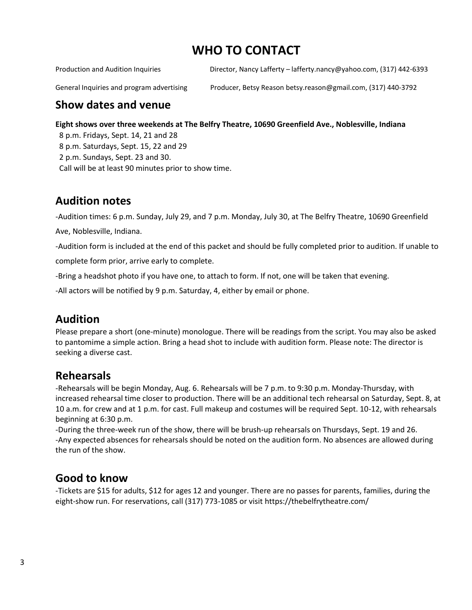# **WHO TO CONTACT**

Production and Audition Inquiries Director, Nancy Lafferty – [lafferty.nancy@yahoo.com,](mailto:lafferty.nancy@yahoo.com) (317) 442-6393

General Inquiries and program advertising Producer, Betsy Reason [betsy.reason@gmail.com,](mailto:betsy.reason@gmail.com) (317) 440-3792

## **Show dates and venue**

#### **Eight shows over three weekends at The Belfry Theatre, 10690 Greenfield Ave., Noblesville, Indiana**

8 p.m. Fridays, Sept. 14, 21 and 28 8 p.m. Saturdays, Sept. 15, 22 and 29 2 p.m. Sundays, Sept. 23 and 30. Call will be at least 90 minutes prior to show time.

## **Audition notes**

-Audition times: 6 p.m. Sunday, July 29, and 7 p.m. Monday, July 30, at The Belfry Theatre, 10690 Greenfield Ave, Noblesville, Indiana.

-Audition form is included at the end of this packet and should be fully completed prior to audition. If unable to

complete form prior, arrive early to complete.

-Bring a headshot photo if you have one, to attach to form. If not, one will be taken that evening.

-All actors will be notified by 9 p.m. Saturday, 4, either by email or phone.

## **Audition**

Please prepare a short (one-minute) monologue. There will be readings from the script. You may also be asked to pantomime a simple action. Bring a head shot to include with audition form. Please note: The director is seeking a diverse cast.

## **Rehearsals**

-Rehearsals will be begin Monday, Aug. 6. Rehearsals will be 7 p.m. to 9:30 p.m. Monday-Thursday, with increased rehearsal time closer to production. There will be an additional tech rehearsal on Saturday, Sept. 8, at 10 a.m. for crew and at 1 p.m. for cast. Full makeup and costumes will be required Sept. 10-12, with rehearsals beginning at 6:30 p.m.

-During the three-week run of the show, there will be brush-up rehearsals on Thursdays, Sept. 19 and 26. -Any expected absences for rehearsals should be noted on the audition form. No absences are allowed during the run of the show.

## **Good to know**

-Tickets are \$15 for adults, \$12 for ages 12 and younger. There are no passes for parents, families, during the eight-show run. For reservations, call (317) 773-1085 or visit [https://thebelfrytheatre.com/](https://l.facebook.com/l.php?u=https%3A%2F%2Fthebelfrytheatre.com%2F&h=ATMzM3bYFlC4ZlyB4_1YY5BLXtcXJPJGNW8_Kjw_aSKMRgj2RjJS0pbojW8Xgxr8JryP0zfzfhHn5YlXcsWPefsSexK_maksxdVHCF0NcXLScT-h6nLwK9jrcqzVCm6hg3Dt&s=1)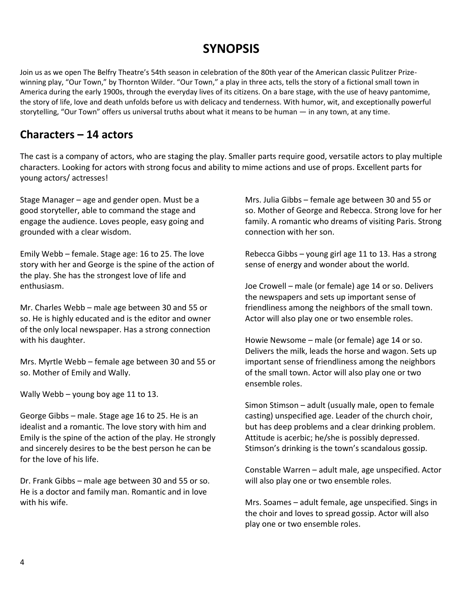# **SYNOPSIS**

Join us as we open The Belfry Theatre's 54th season in celebration of the 80th year of the American classic Pulitzer Prizewinning play, "Our Town," by Thornton Wilder. "Our Town," a play in three acts, tells the story of a fictional small town in America during the early 1900s, through the everyday lives of its citizens. On a bare stage, with the use of heavy pantomime, the story of life, love and death unfolds before us with delicacy and tenderness. With humor, wit, and exceptionally powerful storytelling, "Our Town" offers us universal truths about what it means to be human — in any town, at any time.

## **Characters – 14 actors**

The cast is a company of actors, who are staging the play. Smaller parts require good, versatile actors to play multiple characters. Looking for actors with strong focus and ability to mime actions and use of props. Excellent parts for young actors/ actresses!

Stage Manager – age and gender open. Must be a good storyteller, able to command the stage and engage the audience. Loves people, easy going and grounded with a clear wisdom.

Emily Webb – female. Stage age: 16 to 25. The love story with her and George is the spine of the action of the play. She has the strongest love of life and enthusiasm.

Mr. Charles Webb – male age between 30 and 55 or so. He is highly educated and is the editor and owner of the only local newspaper. Has a strong connection with his daughter.

Mrs. Myrtle Webb – female age between 30 and 55 or so. Mother of Emily and Wally.

Wally Webb – young boy age 11 to 13.

George Gibbs – male. Stage age 16 to 25. He is an idealist and a romantic. The love story with him and Emily is the spine of the action of the play. He strongly and sincerely desires to be the best person he can be for the love of his life.

Dr. Frank Gibbs – male age between 30 and 55 or so. He is a doctor and family man. Romantic and in love with his wife.

Mrs. Julia Gibbs – female age between 30 and 55 or so. Mother of George and Rebecca. Strong love for her family. A romantic who dreams of visiting Paris. Strong connection with her son.

Rebecca Gibbs – young girl age 11 to 13. Has a strong sense of energy and wonder about the world.

Joe Crowell – male (or female) age 14 or so. Delivers the newspapers and sets up important sense of friendliness among the neighbors of the small town. Actor will also play one or two ensemble roles.

Howie Newsome – male (or female) age 14 or so. Delivers the milk, leads the horse and wagon. Sets up important sense of friendliness among the neighbors of the small town. Actor will also play one or two ensemble roles.

Simon Stimson – adult (usually male, open to female casting) unspecified age. Leader of the church choir, but has deep problems and a clear drinking problem. Attitude is acerbic; he/she is possibly depressed. Stimson's drinking is the town's scandalous gossip.

Constable Warren – adult male, age unspecified. Actor will also play one or two ensemble roles.

Mrs. Soames – adult female, age unspecified. Sings in the choir and loves to spread gossip. Actor will also play one or two ensemble roles.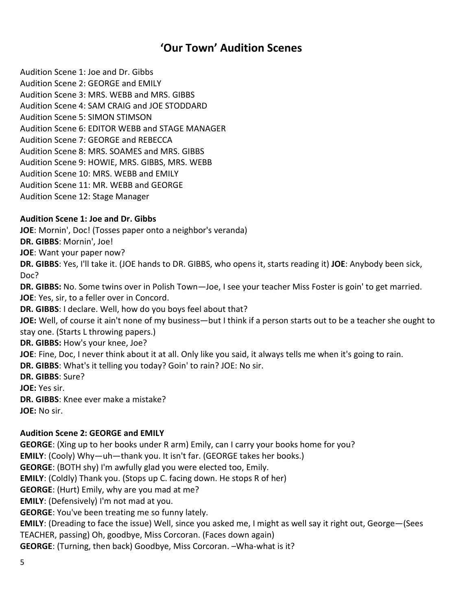## **'Our Town' Audition Scenes**

Audition Scene 1: Joe and Dr. Gibbs Audition Scene 2: GEORGE and EMILY Audition Scene 3: MRS. WEBB and MRS. GIBBS Audition Scene 4: SAM CRAIG and JOE STODDARD Audition Scene 5: SIMON STIMSON Audition Scene 6: EDITOR WEBB and STAGE MANAGER Audition Scene 7: GEORGE and REBECCA Audition Scene 8: MRS. SOAMES and MRS. GIBBS Audition Scene 9: HOWIE, MRS. GIBBS, MRS. WEBB Audition Scene 10: MRS. WEBB and EMILY Audition Scene 11: MR. WEBB and GEORGE Audition Scene 12: Stage Manager

#### **Audition Scene 1: Joe and Dr. Gibbs**

**JOE**: Mornin', Doc! (Tosses paper onto a neighbor's veranda)

**DR. GIBBS**: Mornin', Joe!

**JOE**: Want your paper now?

**DR. GIBBS**: Yes, I'll take it. (JOE hands to DR. GIBBS, who opens it, starts reading it) **JOE**: Anybody been sick, Doc?

**DR. GIBBS:** No. Some twins over in Polish Town—Joe, I see your teacher Miss Foster is goin' to get married. **JOE**: Yes, sir, to a feller over in Concord.

**DR. GIBBS**: I declare. Well, how do you boys feel about that?

**JOE:** Well, of course it ain't none of my business—but I think if a person starts out to be a teacher she ought to stay one. (Starts L throwing papers.)

**DR. GIBBS:** How's your knee, Joe?

**JOE**: Fine, Doc, I never think about it at all. Only like you said, it always tells me when it's going to rain.

**DR. GIBBS**: What's it telling you today? Goin' to rain? JOE: No sir.

**DR. GIBBS**: Sure?

**JOE:** Yes sir.

**DR. GIBBS**: Knee ever make a mistake? **JOE:** No sir.

#### **Audition Scene 2: GEORGE and EMILY**

**GEORGE**: (Xing up to her books under R arm) Emily, can I carry your books home for you? **EMILY**: (Cooly) Why—uh—thank you. It isn't far. (GEORGE takes her books.) **GEORGE**: (BOTH shy) I'm awfully glad you were elected too, Emily. **EMILY**: (Coldly) Thank you. (Stops up C. facing down. He stops R of her) **GEORGE**: (Hurt) Emily, why are you mad at me? **EMILY**: (Defensively) I'm not mad at you. **GEORGE**: You've been treating me so funny lately. **EMILY**: (Dreading to face the issue) Well, since you asked me, I might as well say it right out, George—(Sees TEACHER, passing) Oh, goodbye, Miss Corcoran. (Faces down again) **GEORGE**: (Turning, then back) Goodbye, Miss Corcoran. –Wha-what is it?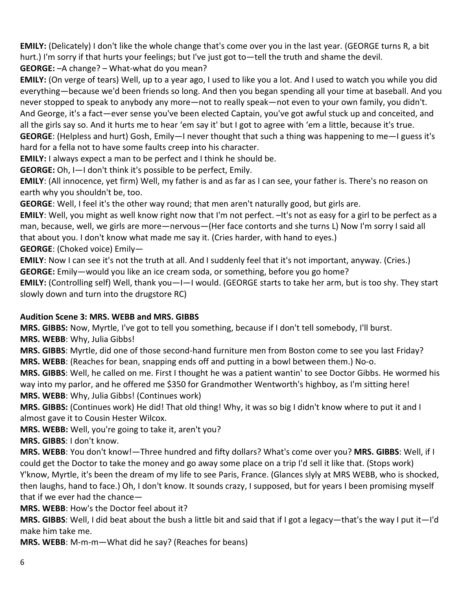**EMILY:** (Delicately) I don't like the whole change that's come over you in the last year. (GEORGE turns R, a bit hurt.) I'm sorry if that hurts your feelings; but I've just got to—tell the truth and shame the devil. **GEORGE:** –A change? – What-what do you mean?

**EMILY:** (On verge of tears) Well, up to a year ago, I used to like you a lot. And I used to watch you while you did everything—because we'd been friends so long. And then you began spending all your time at baseball. And you never stopped to speak to anybody any more—not to really speak—not even to your own family, you didn't. And George, it's a fact—ever sense you've been elected Captain, you've got awful stuck up and conceited, and all the girls say so. And it hurts me to hear 'em say it' but I got to agree with 'em a little, because it's true. **GEORGE**: (Helpless and hurt) Gosh, Emily—I never thought that such a thing was happening to me—I guess it's hard for a fella not to have some faults creep into his character.

**EMILY:** I always expect a man to be perfect and I think he should be.

**GEORGE:** Oh, I—I don't think it's possible to be perfect, Emily.

**EMILY**: (All innocence, yet firm) Well, my father is and as far as I can see, your father is. There's no reason on earth why you shouldn't be, too.

**GEORGE**: Well, I feel it's the other way round; that men aren't naturally good, but girls are.

**EMILY**: Well, you might as well know right now that I'm not perfect.  $-It$ 's not as easy for a girl to be perfect as a man, because, well, we girls are more—nervous—(Her face contorts and she turns L) Now I'm sorry I said all that about you. I don't know what made me say it. (Cries harder, with hand to eyes.) **GEORGE**: (Choked voice) Emily—

**EMILY**: Now I can see it's not the truth at all. And I suddenly feel that it's not important, anyway. (Cries.) **GEORGE:** Emily—would you like an ice cream soda, or something, before you go home?

**EMILY:** (Controlling self) Well, thank you—I—I would. (GEORGE starts to take her arm, but is too shy. They start slowly down and turn into the drugstore RC)

#### **Audition Scene 3: MRS. WEBB and MRS. GIBBS**

**MRS. GIBBS:** Now, Myrtle, I've got to tell you something, because if I don't tell somebody, I'll burst. **MRS. WEBB**: Why, Julia Gibbs!

**MRS. GIBBS**: Myrtle, did one of those second-hand furniture men from Boston come to see you last Friday? **MRS. WEBB**: (Reaches for bean, snapping ends off and putting in a bowl between them.) No-o.

**MRS. GIBBS**: Well, he called on me. First I thought he was a patient wantin' to see Doctor Gibbs. He wormed his way into my parlor, and he offered me \$350 for Grandmother Wentworth's highboy, as I'm sitting here! **MRS. WEBB**: Why, Julia Gibbs! (Continues work)

**MRS. GIBBS:** (Continues work) He did! That old thing! Why, it was so big I didn't know where to put it and I almost gave it to Cousin Hester Wilcox.

**MRS. WEBB:** Well, you're going to take it, aren't you?

**MRS. GIBBS**: I don't know.

**MRS. WEBB**: You don't know!—Three hundred and fifty dollars? What's come over you? **MRS. GIBBS**: Well, if I could get the Doctor to take the money and go away some place on a trip I'd sell it like that. (Stops work) Y'know, Myrtle, it's been the dream of my life to see Paris, France. (Glances slyly at MRS WEBB, who is shocked, then laughs, hand to face.) Oh, I don't know. It sounds crazy, I supposed, but for years I been promising myself that if we ever had the chance—

**MRS. WEBB**: How's the Doctor feel about it?

**MRS. GIBBS**: Well, I did beat about the bush a little bit and said that if I got a legacy—that's the way I put it—I'd make him take me.

**MRS. WEBB**: M-m-m—What did he say? (Reaches for beans)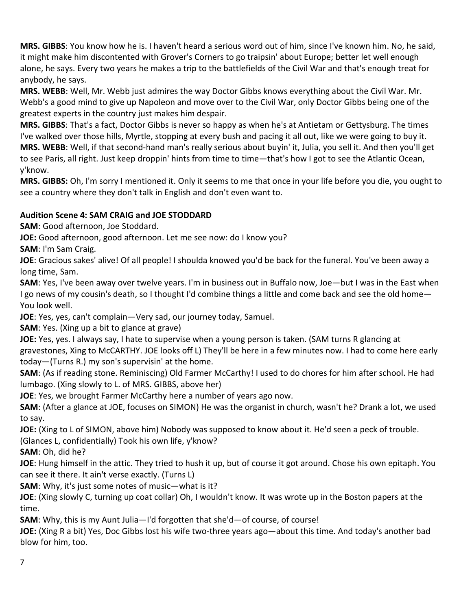**MRS. GIBBS**: You know how he is. I haven't heard a serious word out of him, since I've known him. No, he said, it might make him discontented with Grover's Corners to go traipsin' about Europe; better let well enough alone, he says. Every two years he makes a trip to the battlefields of the Civil War and that's enough treat for anybody, he says.

**MRS. WEBB**: Well, Mr. Webb just admires the way Doctor Gibbs knows everything about the Civil War. Mr. Webb's a good mind to give up Napoleon and move over to the Civil War, only Doctor Gibbs being one of the greatest experts in the country just makes him despair.

**MRS. GIBBS**: That's a fact, Doctor Gibbs is never so happy as when he's at Antietam or Gettysburg. The times I've walked over those hills, Myrtle, stopping at every bush and pacing it all out, like we were going to buy it. **MRS. WEBB**: Well, if that second-hand man's really serious about buyin' it, Julia, you sell it. And then you'll get to see Paris, all right. Just keep droppin' hints from time to time—that's how I got to see the Atlantic Ocean, y'know.

**MRS. GIBBS:** Oh, I'm sorry I mentioned it. Only it seems to me that once in your life before you die, you ought to see a country where they don't talk in English and don't even want to.

#### **Audition Scene 4: SAM CRAIG and JOE STODDARD**

**SAM**: Good afternoon, Joe Stoddard.

**JOE:** Good afternoon, good afternoon. Let me see now: do I know you?

**SAM**: I'm Sam Craig.

**JOE**: Gracious sakes' alive! Of all people! I shoulda knowed you'd be back for the funeral. You've been away a long time, Sam.

**SAM**: Yes, I've been away over twelve years. I'm in business out in Buffalo now, Joe—but I was in the East when I go news of my cousin's death, so I thought I'd combine things a little and come back and see the old home— You look well.

**JOE**: Yes, yes, can't complain—Very sad, our journey today, Samuel.

**SAM**: Yes. (Xing up a bit to glance at grave)

**JOE:** Yes, yes. I always say, I hate to supervise when a young person is taken. (SAM turns R glancing at gravestones, Xing to McCARTHY. JOE looks off L) They'll be here in a few minutes now. I had to come here early today—(Turns R.) my son's supervisin' at the home.

**SAM**: (As if reading stone. Reminiscing) Old Farmer McCarthy! I used to do chores for him after school. He had lumbago. (Xing slowly to L. of MRS. GIBBS, above her)

**JOE**: Yes, we brought Farmer McCarthy here a number of years ago now.

**SAM**: (After a glance at JOE, focuses on SIMON) He was the organist in church, wasn't he? Drank a lot, we used to say.

**JOE:** (Xing to L of SIMON, above him) Nobody was supposed to know about it. He'd seen a peck of trouble. (Glances L, confidentially) Took his own life, y'know?

**SAM**: Oh, did he?

**JOE**: Hung himself in the attic. They tried to hush it up, but of course it got around. Chose his own epitaph. You can see it there. It ain't verse exactly. (Turns L)

**SAM**: Why, it's just some notes of music—what is it?

**JOE**: (Xing slowly C, turning up coat collar) Oh, I wouldn't know. It was wrote up in the Boston papers at the time.

**SAM**: Why, this is my Aunt Julia—I'd forgotten that she'd—of course, of course!

**JOE:** (Xing R a bit) Yes, Doc Gibbs lost his wife two-three years ago—about this time. And today's another bad blow for him, too.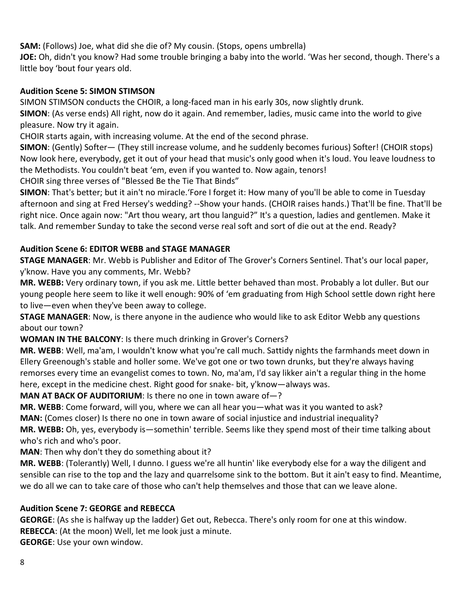**SAM:** (Follows) Joe, what did she die of? My cousin. (Stops, opens umbrella)

**JOE:** Oh, didn't you know? Had some trouble bringing a baby into the world. 'Was her second, though. There's a little boy 'bout four years old.

#### **Audition Scene 5: SIMON STIMSON**

SIMON STIMSON conducts the CHOIR, a long-faced man in his early 30s, now slightly drunk.

**SIMON**: (As verse ends) All right, now do it again. And remember, ladies, music came into the world to give pleasure. Now try it again.

CHOIR starts again, with increasing volume. At the end of the second phrase.

**SIMON**: (Gently) Softer— (They still increase volume, and he suddenly becomes furious) Softer! (CHOIR stops) Now look here, everybody, get it out of your head that music's only good when it's loud. You leave loudness to the Methodists. You couldn't beat 'em, even if you wanted to. Now again, tenors!

CHOIR sing three verses of "Blessed Be the Tie That Binds"

**SIMON**: That's better; but it ain't no miracle.'Fore I forget it: How many of you'll be able to come in Tuesday afternoon and sing at Fred Hersey's wedding? --Show your hands. (CHOIR raises hands.) That'll be fine. That'll be right nice. Once again now: "Art thou weary, art thou languid?" It's a question, ladies and gentlemen. Make it talk. And remember Sunday to take the second verse real soft and sort of die out at the end. Ready?

#### **Audition Scene 6: EDITOR WEBB and STAGE MANAGER**

**STAGE MANAGER**: Mr. Webb is Publisher and Editor of The Grover's Corners Sentinel. That's our local paper, y'know. Have you any comments, Mr. Webb?

**MR. WEBB:** Very ordinary town, if you ask me. Little better behaved than most. Probably a lot duller. But our young people here seem to like it well enough: 90% of 'em graduating from High School settle down right here to live—even when they've been away to college.

**STAGE MANAGER**: Now, is there anyone in the audience who would like to ask Editor Webb any questions about our town?

**WOMAN IN THE BALCONY**: Is there much drinking in Grover's Corners?

**MR. WEBB**: Well, ma'am, I wouldn't know what you're call much. Sattidy nights the farmhands meet down in Ellery Greenough's stable and holler some. We've got one or two town drunks, but they're always having remorses every time an evangelist comes to town. No, ma'am, I'd say likker ain't a regular thing in the home here, except in the medicine chest. Right good for snake- bit, y'know—always was.

**MAN AT BACK OF AUDITORIUM**: Is there no one in town aware of—?

**MR. WEBB**: Come forward, will you, where we can all hear you—what was it you wanted to ask? **MAN:** (Comes closer) Is there no one in town aware of social injustice and industrial inequality?

**MR. WEBB:** Oh, yes, everybody is—somethin' terrible. Seems like they spend most of their time talking about who's rich and who's poor.

**MAN**: Then why don't they do something about it?

**MR. WEBB**: (Tolerantly) Well, I dunno. I guess we're all huntin' like everybody else for a way the diligent and sensible can rise to the top and the lazy and quarrelsome sink to the bottom. But it ain't easy to find. Meantime, we do all we can to take care of those who can't help themselves and those that can we leave alone.

#### **Audition Scene 7: GEORGE and REBECCA**

**GEORGE**: (As she is halfway up the ladder) Get out, Rebecca. There's only room for one at this window. **REBECCA**: (At the moon) Well, let me look just a minute. **GEORGE**: Use your own window.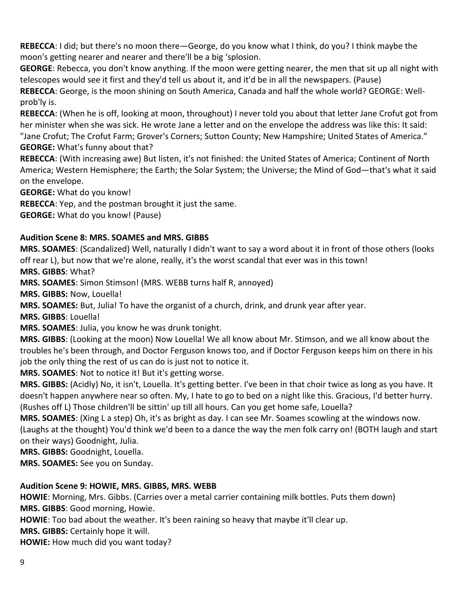**REBECCA**: I did; but there's no moon there—George, do you know what I think, do you? I think maybe the moon's getting nearer and nearer and there'll be a big 'splosion.

**GEORGE**: Rebecca, you don't know anything. If the moon were getting nearer, the men that sit up all night with telescopes would see it first and they'd tell us about it, and it'd be in all the newspapers. (Pause)

**REBECCA**: George, is the moon shining on South America, Canada and half the whole world? GEORGE: Wellprob'ly is.

**REBECCA**: (When he is off, looking at moon, throughout) I never told you about that letter Jane Crofut got from her minister when she was sick. He wrote Jane a letter and on the envelope the address was like this: It said: "Jane Crofut; The Crofut Farm; Grover's Corners; Sutton County; New Hampshire; United States of America." **GEORGE:** What's funny about that?

**REBECCA**: (With increasing awe) But listen, it's not finished: the United States of America; Continent of North America; Western Hemisphere; the Earth; the Solar System; the Universe; the Mind of God—that's what it said on the envelope.

**GEORGE:** What do you know!

**REBECCA**: Yep, and the postman brought it just the same.

**GEORGE:** What do you know! (Pause)

#### **Audition Scene 8: MRS. SOAMES and MRS. GIBBS**

**MRS. SOAMES**: (Scandalized) Well, naturally I didn't want to say a word about it in front of those others (looks off rear L), but now that we're alone, really, it's the worst scandal that ever was in this town! **MRS. GIBBS**: What?

**MRS. SOAMES**: Simon Stimson! (MRS. WEBB turns half R, annoyed)

**MRS. GIBBS:** Now, Louella!

**MRS. SOAMES:** But, Julia! To have the organist of a church, drink, and drunk year after year.

**MRS. GIBBS**: Louella!

**MRS. SOAMES**: Julia, you know he was drunk tonight.

**MRS. GIBBS**: (Looking at the moon) Now Louella! We all know about Mr. Stimson, and we all know about the troubles he's been through, and Doctor Ferguson knows too, and if Doctor Ferguson keeps him on there in his job the only thing the rest of us can do is just not to notice it.

**MRS. SOAMES**: Not to notice it! But it's getting worse.

**MRS. GIBBS:** (Acidly) No, it isn't, Louella. It's getting better. I've been in that choir twice as long as you have. It doesn't happen anywhere near so often. My, I hate to go to bed on a night like this. Gracious, I'd better hurry. (Rushes off L) Those children'll be sittin' up till all hours. Can you get home safe, Louella?

**MRS. SOAMES**: (Xing L a step) Oh, it's as bright as day. I can see Mr. Soames scowling at the windows now. (Laughs at the thought) You'd think we'd been to a dance the way the men folk carry on! (BOTH laugh and start on their ways) Goodnight, Julia.

**MRS. GIBBS:** Goodnight, Louella.

**MRS. SOAMES:** See you on Sunday.

#### **Audition Scene 9: HOWIE, MRS. GIBBS, MRS. WEBB**

**HOWIE**: Morning, Mrs. Gibbs. (Carries over a metal carrier containing milk bottles. Puts them down) **MRS. GIBBS**: Good morning, Howie.

**HOWIE**: Too bad about the weather. It's been raining so heavy that maybe it'll clear up.

**MRS. GIBBS:** Certainly hope it will.

**HOWIE:** How much did you want today?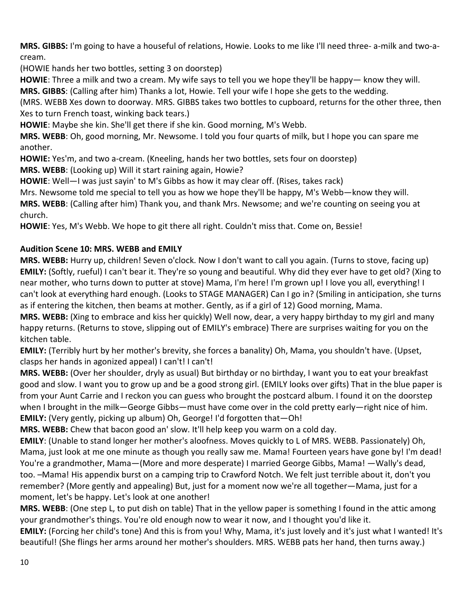**MRS. GIBBS:** I'm going to have a houseful of relations, Howie. Looks to me like I'll need three- a-milk and two-acream.

(HOWIE hands her two bottles, setting 3 on doorstep)

**HOWIE**: Three a milk and two a cream. My wife says to tell you we hope they'll be happy— know they will.

**MRS. GIBBS**: (Calling after him) Thanks a lot, Howie. Tell your wife I hope she gets to the wedding.

(MRS. WEBB Xes down to doorway. MRS. GIBBS takes two bottles to cupboard, returns for the other three, then Xes to turn French toast, winking back tears.)

**HOWIE**: Maybe she kin. She'll get there if she kin. Good morning, M's Webb.

**MRS. WEBB**: Oh, good morning, Mr. Newsome. I told you four quarts of milk, but I hope you can spare me another.

**HOWIE:** Yes'm, and two a-cream. (Kneeling, hands her two bottles, sets four on doorstep) **MRS. WEBB**: (Looking up) Will it start raining again, Howie?

**HOWIE**: Well—I was just sayin' to M's Gibbs as how it may clear off. (Rises, takes rack)

Mrs. Newsome told me special to tell you as how we hope they'll be happy, M's Webb—know they will.

**MRS. WEBB**: (Calling after him) Thank you, and thank Mrs. Newsome; and we're counting on seeing you at church.

**HOWIE**: Yes, M's Webb. We hope to git there all right. Couldn't miss that. Come on, Bessie!

### **Audition Scene 10: MRS. WEBB and EMILY**

**MRS. WEBB:** Hurry up, children! Seven o'clock. Now I don't want to call you again. (Turns to stove, facing up) **EMILY:** (Softly, rueful) I can't bear it. They're so young and beautiful. Why did they ever have to get old? (Xing to near mother, who turns down to putter at stove) Mama, I'm here! I'm grown up! I love you all, everything! I can't look at everything hard enough. (Looks to STAGE MANAGER) Can I go in? (Smiling in anticipation, she turns as if entering the kitchen, then beams at mother. Gently, as if a girl of 12) Good morning, Mama.

**MRS. WEBB:** (Xing to embrace and kiss her quickly) Well now, dear, a very happy birthday to my girl and many happy returns. (Returns to stove, slipping out of EMILY's embrace) There are surprises waiting for you on the kitchen table.

**EMILY:** (Terribly hurt by her mother's brevity, she forces a banality) Oh, Mama, you shouldn't have. (Upset, clasps her hands in agonized appeal) I can't! I can't!

**MRS. WEBB:** (Over her shoulder, dryly as usual) But birthday or no birthday, I want you to eat your breakfast good and slow. I want you to grow up and be a good strong girl. (EMILY looks over gifts) That in the blue paper is from your Aunt Carrie and I reckon you can guess who brought the postcard album. I found it on the doorstep when I brought in the milk—George Gibbs—must have come over in the cold pretty early—right nice of him. **EMILY:** (Very gently, picking up album) Oh, George! I'd forgotten that—Oh!

**MRS. WEBB:** Chew that bacon good an' slow. It'll help keep you warm on a cold day.

**EMILY**: (Unable to stand longer her mother's aloofness. Moves quickly to L of MRS. WEBB. Passionately) Oh, Mama, just look at me one minute as though you really saw me. Mama! Fourteen years have gone by! I'm dead! You're a grandmother, Mama—(More and more desperate) I married George Gibbs, Mama! —Wally's dead, too. –Mama! His appendix burst on a camping trip to Crawford Notch. We felt just terrible about it, don't you remember? (More gently and appealing) But, just for a moment now we're all together—Mama, just for a moment, let's be happy. Let's look at one another!

**MRS. WEBB**: (One step L, to put dish on table) That in the yellow paper is something I found in the attic among your grandmother's things. You're old enough now to wear it now, and I thought you'd like it.

**EMILY:** (Forcing her child's tone) And this is from you! Why, Mama, it's just lovely and it's just what I wanted! It's beautiful! (She flings her arms around her mother's shoulders. MRS. WEBB pats her hand, then turns away.)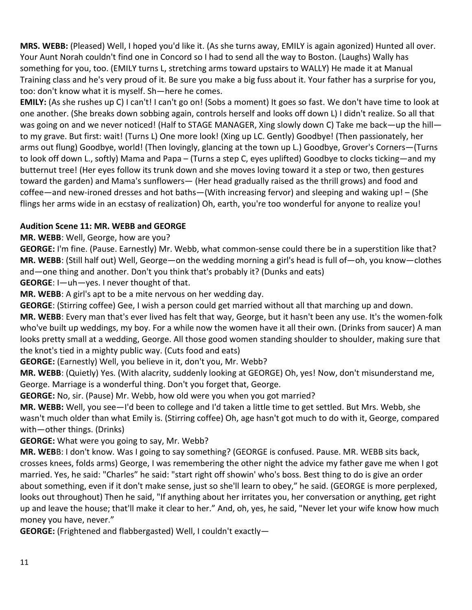**MRS. WEBB:** (Pleased) Well, I hoped you'd like it. (As she turns away, EMILY is again agonized) Hunted all over. Your Aunt Norah couldn't find one in Concord so I had to send all the way to Boston. (Laughs) Wally has something for you, too. (EMILY turns L, stretching arms toward upstairs to WALLY) He made it at Manual Training class and he's very proud of it. Be sure you make a big fuss about it. Your father has a surprise for you, too: don't know what it is myself. Sh—here he comes.

**EMILY:** (As she rushes up C) I can't! I can't go on! (Sobs a moment) It goes so fast. We don't have time to look at one another. (She breaks down sobbing again, controls herself and looks off down L) I didn't realize. So all that was going on and we never noticed! (Half to STAGE MANAGER, Xing slowly down C) Take me back—up the hill to my grave. But first: wait! (Turns L) One more look! (Xing up LC. Gently) Goodbye! (Then passionately, her arms out flung) Goodbye, world! (Then lovingly, glancing at the town up L.) Goodbye, Grover's Corners—(Turns to look off down L., softly) Mama and Papa – (Turns a step C, eyes uplifted) Goodbye to clocks ticking—and my butternut tree! (Her eyes follow its trunk down and she moves loving toward it a step or two, then gestures toward the garden) and Mama's sunflowers— (Her head gradually raised as the thrill grows) and food and coffee—and new-ironed dresses and hot baths—(With increasing fervor) and sleeping and waking up! – (She flings her arms wide in an ecstasy of realization) Oh, earth, you're too wonderful for anyone to realize you!

#### **Audition Scene 11: MR. WEBB and GEORGE**

**MR. WEBB**: Well, George, how are you?

**GEORGE:** I'm fine. (Pause. Earnestly) Mr. Webb, what common-sense could there be in a superstition like that? **MR. WEBB**: (Still half out) Well, George—on the wedding morning a girl's head is full of—oh, you know—clothes and—one thing and another. Don't you think that's probably it? (Dunks and eats)

**GEORGE**: I—uh—yes. I never thought of that.

**MR. WEBB**: A girl's apt to be a mite nervous on her wedding day.

**GEORGE**: (Stirring coffee) Gee, I wish a person could get married without all that marching up and down.

**MR. WEBB**: Every man that's ever lived has felt that way, George, but it hasn't been any use. It's the women-folk who've built up weddings, my boy. For a while now the women have it all their own. (Drinks from saucer) A man looks pretty small at a wedding, George. All those good women standing shoulder to shoulder, making sure that the knot's tied in a mighty public way. (Cuts food and eats)

**GEORGE:** (Earnestly) Well, you believe in it, don't you, Mr. Webb?

**MR. WEBB**: (Quietly) Yes. (With alacrity, suddenly looking at GEORGE) Oh, yes! Now, don't misunderstand me, George. Marriage is a wonderful thing. Don't you forget that, George.

**GEORGE:** No, sir. (Pause) Mr. Webb, how old were you when you got married?

**MR. WEBB:** Well, you see—I'd been to college and I'd taken a little time to get settled. But Mrs. Webb, she wasn't much older than what Emily is. (Stirring coffee) Oh, age hasn't got much to do with it, George, compared with—other things. (Drinks)

**GEORGE:** What were you going to say, Mr. Webb?

**MR. WEB**B: I don't know. Was I going to say something? (GEORGE is confused. Pause. MR. WEBB sits back, crosses knees, folds arms) George, I was remembering the other night the advice my father gave me when I got married. Yes, he said: "Charles" he said: "start right off showin' who's boss. Best thing to do is give an order about something, even if it don't make sense, just so she'll learn to obey," he said. (GEORGE is more perplexed, looks out throughout) Then he said, "If anything about her irritates you, her conversation or anything, get right up and leave the house; that'll make it clear to her." And, oh, yes, he said, "Never let your wife know how much money you have, never."

**GEORGE:** (Frightened and flabbergasted) Well, I couldn't exactly—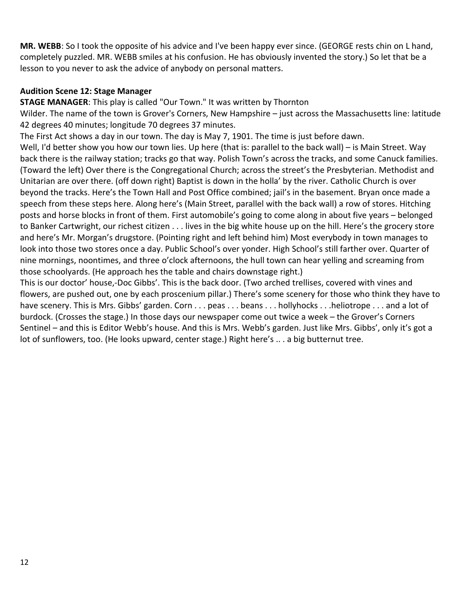**MR. WEBB**: So I took the opposite of his advice and I've been happy ever since. (GEORGE rests chin on L hand, completely puzzled. MR. WEBB smiles at his confusion. He has obviously invented the story.) So let that be a lesson to you never to ask the advice of anybody on personal matters.

#### **Audition Scene 12: Stage Manager**

**STAGE MANAGER**: This play is called "Our Town." It was written by Thornton

Wilder. The name of the town is Grover's Corners, New Hampshire – just across the Massachusetts line: latitude 42 degrees 40 minutes; longitude 70 degrees 37 minutes.

The First Act shows a day in our town. The day is May 7, 1901. The time is just before dawn.

Well, I'd better show you how our town lies. Up here (that is: parallel to the back wall) – is Main Street. Way back there is the railway station; tracks go that way. Polish Town's across the tracks, and some Canuck families. (Toward the left) Over there is the Congregational Church; across the street's the Presbyterian. Methodist and Unitarian are over there. (off down right) Baptist is down in the holla' by the river. Catholic Church is over beyond the tracks. Here's the Town Hall and Post Office combined; jail's in the basement. Bryan once made a speech from these steps here. Along here's (Main Street, parallel with the back wall) a row of stores. Hitching posts and horse blocks in front of them. First automobile's going to come along in about five years – belonged to Banker Cartwright, our richest citizen . . . lives in the big white house up on the hill. Here's the grocery store and here's Mr. Morgan's drugstore. (Pointing right and left behind him) Most everybody in town manages to look into those two stores once a day. Public School's over yonder. High School's still farther over. Quarter of nine mornings, noontimes, and three o'clock afternoons, the hull town can hear yelling and screaming from those schoolyards. (He approach hes the table and chairs downstage right.)

This is our doctor' house,-Doc Gibbs'. This is the back door. (Two arched trellises, covered with vines and flowers, are pushed out, one by each proscenium pillar.) There's some scenery for those who think they have to have scenery. This is Mrs. Gibbs' garden. Corn . . . peas . . . beans . . . hollyhocks . . .heliotrope . . . and a lot of burdock. (Crosses the stage.) In those days our newspaper come out twice a week – the Grover's Corners Sentinel – and this is Editor Webb's house. And this is Mrs. Webb's garden. Just like Mrs. Gibbs', only it's got a lot of sunflowers, too. (He looks upward, center stage.) Right here's .. . a big butternut tree.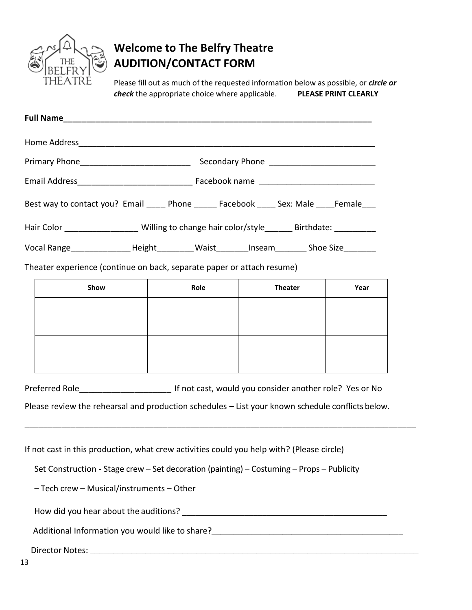

# **Welcome to The Belfry Theatre AUDITION/CONTACT FORM**

Please fill out as much of the requested information below as possible, or *circle or check* the appropriate choice where applicable. **PLEASE PRINT CLEARLY**

| Full Name <b>Example 2018</b> The Research Contract of the Research Contract of the Research Contract of the Research Contract of the Research Contract of the Research Contract of the Research Contract of the Research Contract |      |                |      |  |
|------------------------------------------------------------------------------------------------------------------------------------------------------------------------------------------------------------------------------------|------|----------------|------|--|
|                                                                                                                                                                                                                                    |      |                |      |  |
|                                                                                                                                                                                                                                    |      |                |      |  |
|                                                                                                                                                                                                                                    |      |                |      |  |
| Best way to contact you? Email _____ Phone ______ Facebook ____ Sex: Male ____ Female___                                                                                                                                           |      |                |      |  |
| Hair Color ____________________ Willing to change hair color/style _______ Birthdate: ___________                                                                                                                                  |      |                |      |  |
| Vocal Range_________________Height_________Waist________Inseam__________Shoe Size________                                                                                                                                          |      |                |      |  |
| Theater experience (continue on back, separate paper or attach resume)                                                                                                                                                             |      |                |      |  |
| Show                                                                                                                                                                                                                               | Role | <b>Theater</b> | Year |  |
|                                                                                                                                                                                                                                    |      |                |      |  |
|                                                                                                                                                                                                                                    |      |                |      |  |
|                                                                                                                                                                                                                                    |      |                |      |  |
|                                                                                                                                                                                                                                    |      |                |      |  |
| Preferred Role__________________________________ If not cast, would you consider another role? Yes or No                                                                                                                           |      |                |      |  |
| Please review the rehearsal and production schedules - List your known schedule conflicts below.                                                                                                                                   |      |                |      |  |
|                                                                                                                                                                                                                                    |      |                |      |  |
| If not cast in this production, what crew activities could you help with? (Please circle)                                                                                                                                          |      |                |      |  |
| Set Construction - Stage crew - Set decoration (painting) - Costuming - Props - Publicity                                                                                                                                          |      |                |      |  |
| - Tech crew - Musical/instruments - Other                                                                                                                                                                                          |      |                |      |  |
|                                                                                                                                                                                                                                    |      |                |      |  |
| Additional Information you would like to share?                                                                                                                                                                                    |      |                |      |  |

Director Notes: \_\_\_\_\_\_\_\_\_\_\_\_\_\_\_\_\_\_\_\_\_\_\_\_\_\_\_\_\_\_\_\_\_\_\_\_\_\_\_\_\_\_\_\_\_\_\_\_\_\_\_\_\_\_\_\_\_\_\_\_\_\_\_\_\_\_\_\_\_\_\_